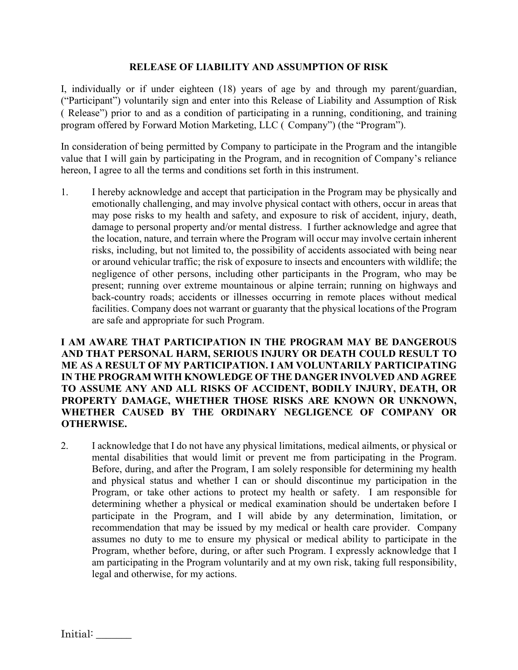## **RELEASE OF LIABILITY AND ASSUMPTION OF RISK**

I, individually or if under eighteen (18) years of age by and through my parent/guardian, ("Participant") voluntarily sign and enter into this Release of Liability and Assumption of Risk ( Release") prior to and as a condition of participating in a running, conditioning, and training program offered by Forward Motion Marketing, LLC ( Company") (the "Program").

In consideration of being permitted by Company to participate in the Program and the intangible value that I will gain by participating in the Program, and in recognition of Company's reliance hereon, I agree to all the terms and conditions set forth in this instrument.

1. I hereby acknowledge and accept that participation in the Program may be physically and emotionally challenging, and may involve physical contact with others, occur in areas that may pose risks to my health and safety, and exposure to risk of accident, injury, death, damage to personal property and/or mental distress. I further acknowledge and agree that the location, nature, and terrain where the Program will occur may involve certain inherent risks, including, but not limited to, the possibility of accidents associated with being near or around vehicular traffic; the risk of exposure to insects and encounters with wildlife; the negligence of other persons, including other participants in the Program, who may be present; running over extreme mountainous or alpine terrain; running on highways and back-country roads; accidents or illnesses occurring in remote places without medical facilities. Company does not warrant or guaranty that the physical locations of the Program are safe and appropriate for such Program.

**I AM AWARE THAT PARTICIPATION IN THE PROGRAM MAY BE DANGEROUS AND THAT PERSONAL HARM, SERIOUS INJURY OR DEATH COULD RESULT TO ME AS A RESULT OF MY PARTICIPATION. I AM VOLUNTARILY PARTICIPATING IN THE PROGRAM WITH KNOWLEDGE OF THE DANGER INVOLVED AND AGREE TO ASSUME ANY AND ALL RISKS OF ACCIDENT, BODILY INJURY, DEATH, OR PROPERTY DAMAGE, WHETHER THOSE RISKS ARE KNOWN OR UNKNOWN, WHETHER CAUSED BY THE ORDINARY NEGLIGENCE OF COMPANY OR OTHERWISE.**

2. I acknowledge that I do not have any physical limitations, medical ailments, or physical or mental disabilities that would limit or prevent me from participating in the Program. Before, during, and after the Program, I am solely responsible for determining my health and physical status and whether I can or should discontinue my participation in the Program, or take other actions to protect my health or safety. I am responsible for determining whether a physical or medical examination should be undertaken before I participate in the Program, and I will abide by any determination, limitation, or recommendation that may be issued by my medical or health care provider. Company assumes no duty to me to ensure my physical or medical ability to participate in the Program, whether before, during, or after such Program. I expressly acknowledge that I am participating in the Program voluntarily and at my own risk, taking full responsibility, legal and otherwise, for my actions.

Initial: \_\_\_\_\_\_\_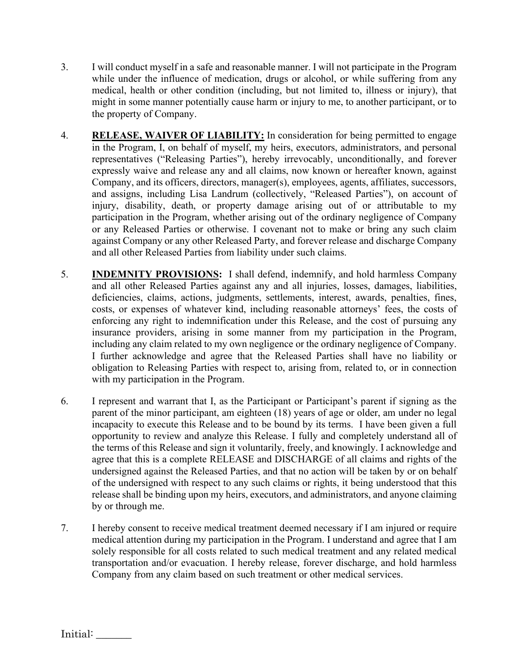- 3. I will conduct myself in a safe and reasonable manner. I will not participate in the Program while under the influence of medication, drugs or alcohol, or while suffering from any medical, health or other condition (including, but not limited to, illness or injury), that might in some manner potentially cause harm or injury to me, to another participant, or to the property of Company.
- 4. **RELEASE, WAIVER OF LIABILITY:** In consideration for being permitted to engage in the Program, I, on behalf of myself, my heirs, executors, administrators, and personal representatives ("Releasing Parties"), hereby irrevocably, unconditionally, and forever expressly waive and release any and all claims, now known or hereafter known, against Company, and its officers, directors, manager(s), employees, agents, affiliates, successors, and assigns, including Lisa Landrum (collectively, "Released Parties"), on account of injury, disability, death, or property damage arising out of or attributable to my participation in the Program, whether arising out of the ordinary negligence of Company or any Released Parties or otherwise. I covenant not to make or bring any such claim against Company or any other Released Party, and forever release and discharge Company and all other Released Parties from liability under such claims.
- 5. **INDEMNITY PROVISIONS:** I shall defend, indemnify, and hold harmless Company and all other Released Parties against any and all injuries, losses, damages, liabilities, deficiencies, claims, actions, judgments, settlements, interest, awards, penalties, fines, costs, or expenses of whatever kind, including reasonable attorneys' fees, the costs of enforcing any right to indemnification under this Release, and the cost of pursuing any insurance providers, arising in some manner from my participation in the Program, including any claim related to my own negligence or the ordinary negligence of Company. I further acknowledge and agree that the Released Parties shall have no liability or obligation to Releasing Parties with respect to, arising from, related to, or in connection with my participation in the Program.
- 6. I represent and warrant that I, as the Participant or Participant's parent if signing as the parent of the minor participant, am eighteen (18) years of age or older, am under no legal incapacity to execute this Release and to be bound by its terms. I have been given a full opportunity to review and analyze this Release. I fully and completely understand all of the terms of this Release and sign it voluntarily, freely, and knowingly. I acknowledge and agree that this is a complete RELEASE and DISCHARGE of all claims and rights of the undersigned against the Released Parties, and that no action will be taken by or on behalf of the undersigned with respect to any such claims or rights, it being understood that this release shall be binding upon my heirs, executors, and administrators, and anyone claiming by or through me.
- 7. I hereby consent to receive medical treatment deemed necessary if I am injured or require medical attention during my participation in the Program. I understand and agree that I am solely responsible for all costs related to such medical treatment and any related medical transportation and/or evacuation. I hereby release, forever discharge, and hold harmless Company from any claim based on such treatment or other medical services.

Initial: \_\_\_\_\_\_\_